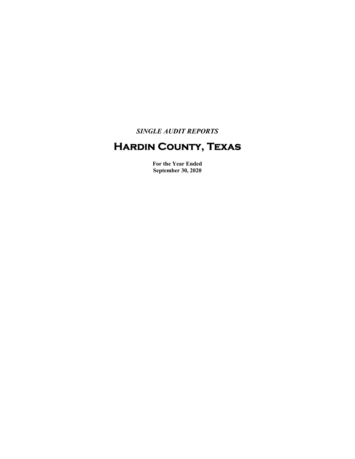*SINGLE AUDIT REPORTS* 

# **Hardin County, Texas**

**For the Year Ended September 30, 2020**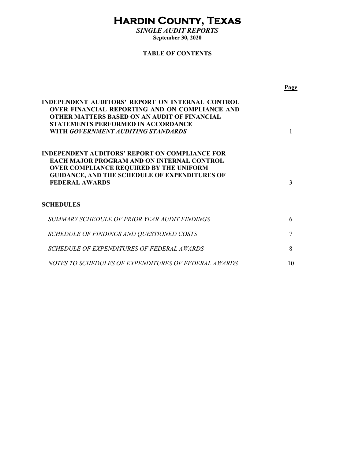# **Hardin County, Texas**

*SINGLE AUDIT REPORTS*  **September 30, 2020** 

#### **TABLE OF CONTENTS**

|                                                                                                                                                                                                                                                     | Page |
|-----------------------------------------------------------------------------------------------------------------------------------------------------------------------------------------------------------------------------------------------------|------|
| INDEPENDENT AUDITORS' REPORT ON INTERNAL CONTROL<br><b>OVER FINANCIAL REPORTING AND ON COMPLIANCE AND</b><br><b>OTHER MATTERS BASED ON AN AUDIT OF FINANCIAL</b><br><b>STATEMENTS PERFORMED IN ACCORDANCE</b><br>WITH GOVERNMENT AUDITING STANDARDS |      |
| INDEPENDENT AUDITORS' REPORT ON COMPLIANCE FOR<br><b>EACH MAJOR PROGRAM AND ON INTERNAL CONTROL</b><br><b>OVER COMPLIANCE REQUIRED BY THE UNIFORM</b><br><b>GUIDANCE, AND THE SCHEDULE OF EXPENDITURES OF</b><br><b>FEDERAL AWARDS</b>              | 3    |
| <b>SCHEDULES</b>                                                                                                                                                                                                                                    |      |
| SUMMARY SCHEDULE OF PRIOR YEAR AUDIT FINDINGS                                                                                                                                                                                                       | 6    |
| SCHEDULE OF FINDINGS AND QUESTIONED COSTS                                                                                                                                                                                                           |      |
| SCHEDULE OF EXPENDITURES OF FEDERAL AWARDS                                                                                                                                                                                                          | 8    |
| NOTES TO SCHEDULES OF EXPENDITURES OF FEDERAL AWARDS                                                                                                                                                                                                | 10   |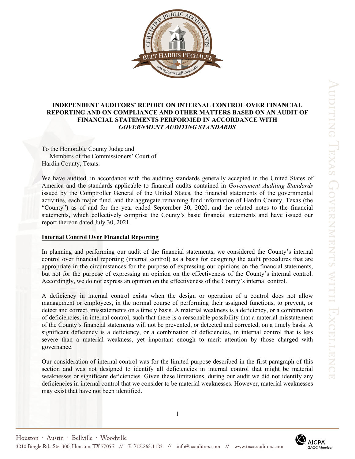

#### **INDEPENDENT AUDITORS' REPORT ON INTERNAL CONTROL OVER FINANCIAL REPORTING AND ON COMPLIANCE AND OTHER MATTERS BASED ON AN AUDIT OF FINANCIAL STATEMENTS PERFORMED IN ACCORDANCE WITH**  *GOVERNMENT AUDITING STANDARDS*

To the Honorable County Judge and Members of the Commissioners' Court of Hardin County, Texas:

We have audited, in accordance with the auditing standards generally accepted in the United States of America and the standards applicable to financial audits contained in *Government Auditing Standards* issued by the Comptroller General of the United States, the financial statements of the governmental activities, each major fund, and the aggregate remaining fund information of Hardin County, Texas (the "County") as of and for the year ended September 30, 2020, and the related notes to the financial statements, which collectively comprise the County's basic financial statements and have issued our report thereon dated July 30, 2021.

#### **Internal Control Over Financial Reporting**

In planning and performing our audit of the financial statements, we considered the County's internal control over financial reporting (internal control) as a basis for designing the audit procedures that are appropriate in the circumstances for the purpose of expressing our opinions on the financial statements, but not for the purpose of expressing an opinion on the effectiveness of the County's internal control. Accordingly, we do not express an opinion on the effectiveness of the County's internal control.

A deficiency in internal control exists when the design or operation of a control does not allow management or employees, in the normal course of performing their assigned functions, to prevent, or detect and correct, misstatements on a timely basis. A material weakness is a deficiency, or a combination of deficiencies, in internal control, such that there is a reasonable possibility that a material misstatement of the County's financial statements will not be prevented, or detected and corrected, on a timely basis. A significant deficiency is a deficiency, or a combination of deficiencies, in internal control that is less severe than a material weakness, yet important enough to merit attention by those charged with governance.

Our consideration of internal control was for the limited purpose described in the first paragraph of this section and was not designed to identify all deficiencies in internal control that might be material weaknesses or significant deficiencies. Given these limitations, during our audit we did not identify any deficiencies in internal control that we consider to be material weaknesses. However, material weaknesses may exist that have not been identified.

1

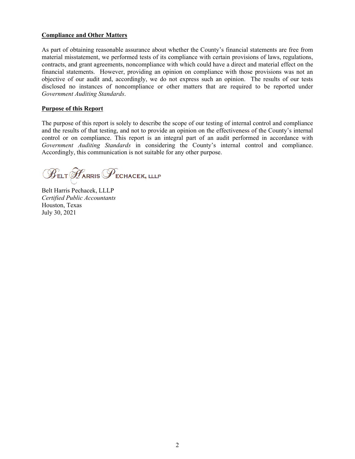#### **Compliance and Other Matters**

As part of obtaining reasonable assurance about whether the County's financial statements are free from material misstatement, we performed tests of its compliance with certain provisions of laws, regulations, contracts, and grant agreements, noncompliance with which could have a direct and material effect on the financial statements. However, providing an opinion on compliance with those provisions was not an objective of our audit and, accordingly, we do not express such an opinion. The results of our tests disclosed no instances of noncompliance or other matters that are required to be reported under *Government Auditing Standards*.

#### **Purpose of this Report**

The purpose of this report is solely to describe the scope of our testing of internal control and compliance and the results of that testing, and not to provide an opinion on the effectiveness of the County's internal control or on compliance. This report is an integral part of an audit performed in accordance with *Government Auditing Standards* in considering the County's internal control and compliance. Accordingly, this communication is not suitable for any other purpose.

 $\mathscr{B}_{\texttt{ELT}} \mathscr{F}_{\texttt{ARRIS}} \mathscr{F}_{\texttt{ECHACEK, ILLP}}$ 

Belt Harris Pechacek, LLLP *Certified Public Accountants*  Houston, Texas July 30, 2021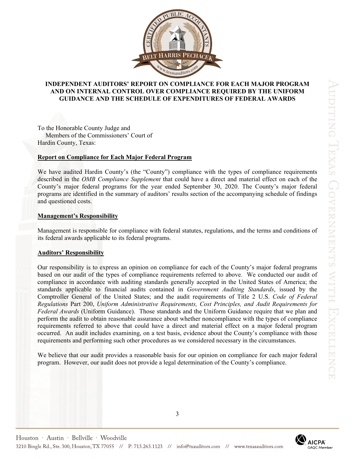

#### **INDEPENDENT AUDITORS' REPORT ON COMPLIANCE FOR EACH MAJOR PROGRAM AND ON INTERNAL CONTROL OVER COMPLIANCE REQUIRED BY THE UNIFORM GUIDANCE AND THE SCHEDULE OF EXPENDITURES OF FEDERAL AWARDS**

To the Honorable County Judge and Members of the Commissioners' Court of Hardin County, Texas:

#### **Report on Compliance for Each Major Federal Program**

We have audited Hardin County's (the "County") compliance with the types of compliance requirements described in the *OMB Compliance Supplement* that could have a direct and material effect on each of the County's major federal programs for the year ended September 30, 2020. The County's major federal programs are identified in the summary of auditors' results section of the accompanying schedule of findings and questioned costs.

#### **Management's Responsibility**

Management is responsible for compliance with federal statutes, regulations, and the terms and conditions of its federal awards applicable to its federal programs.

#### **Auditors' Responsibility**

Our responsibility is to express an opinion on compliance for each of the County's major federal programs based on our audit of the types of compliance requirements referred to above. We conducted our audit of compliance in accordance with auditing standards generally accepted in the United States of America; the standards applicable to financial audits contained in *Government Auditing Standards*, issued by the Comptroller General of the United States; and the audit requirements of Title 2 U.S. *Code of Federal Regulations* Part 200, *Uniform Administrative Requirements, Cost Principles, and Audit Requirements for Federal Awards* (Uniform Guidance). Those standards and the Uniform Guidance require that we plan and perform the audit to obtain reasonable assurance about whether noncompliance with the types of compliance requirements referred to above that could have a direct and material effect on a major federal program occurred. An audit includes examining, on a test basis, evidence about the County's compliance with those requirements and performing such other procedures as we considered necessary in the circumstances.

We believe that our audit provides a reasonable basis for our opinion on compliance for each major federal program. However, our audit does not provide a legal determination of the County's compliance.

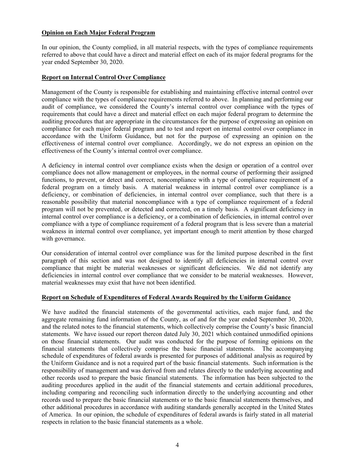#### **Opinion on Each Major Federal Program**

In our opinion, the County complied, in all material respects, with the types of compliance requirements referred to above that could have a direct and material effect on each of its major federal programs for the year ended September 30, 2020.

#### **Report on Internal Control Over Compliance**

Management of the County is responsible for establishing and maintaining effective internal control over compliance with the types of compliance requirements referred to above. In planning and performing our audit of compliance, we considered the County's internal control over compliance with the types of requirements that could have a direct and material effect on each major federal program to determine the auditing procedures that are appropriate in the circumstances for the purpose of expressing an opinion on compliance for each major federal program and to test and report on internal control over compliance in accordance with the Uniform Guidance, but not for the purpose of expressing an opinion on the effectiveness of internal control over compliance. Accordingly, we do not express an opinion on the effectiveness of the County's internal control over compliance.

A deficiency in internal control over compliance exists when the design or operation of a control over compliance does not allow management or employees, in the normal course of performing their assigned functions, to prevent, or detect and correct, noncompliance with a type of compliance requirement of a federal program on a timely basis. A material weakness in internal control over compliance is a deficiency, or combination of deficiencies, in internal control over compliance, such that there is a reasonable possibility that material noncompliance with a type of compliance requirement of a federal program will not be prevented, or detected and corrected, on a timely basis. A significant deficiency in internal control over compliance is a deficiency, or a combination of deficiencies, in internal control over compliance with a type of compliance requirement of a federal program that is less severe than a material weakness in internal control over compliance, yet important enough to merit attention by those charged with governance.

Our consideration of internal control over compliance was for the limited purpose described in the first paragraph of this section and was not designed to identify all deficiencies in internal control over compliance that might be material weaknesses or significant deficiencies. We did not identify any deficiencies in internal control over compliance that we consider to be material weaknesses. However, material weaknesses may exist that have not been identified.

#### **Report on Schedule of Expenditures of Federal Awards Required by the Uniform Guidance**

We have audited the financial statements of the governmental activities, each major fund, and the aggregate remaining fund information of the County, as of and for the year ended September 30, 2020, and the related notes to the financial statements, which collectively comprise the County's basic financial statements. We have issued our report thereon dated July 30, 2021 which contained unmodified opinions on those financial statements. Our audit was conducted for the purpose of forming opinions on the financial statements that collectively comprise the basic financial statements. The accompanying schedule of expenditures of federal awards is presented for purposes of additional analysis as required by the Uniform Guidance and is not a required part of the basic financial statements. Such information is the responsibility of management and was derived from and relates directly to the underlying accounting and other records used to prepare the basic financial statements. The information has been subjected to the auditing procedures applied in the audit of the financial statements and certain additional procedures, including comparing and reconciling such information directly to the underlying accounting and other records used to prepare the basic financial statements or to the basic financial statements themselves, and other additional procedures in accordance with auditing standards generally accepted in the United States of America. In our opinion, the schedule of expenditures of federal awards is fairly stated in all material respects in relation to the basic financial statements as a whole.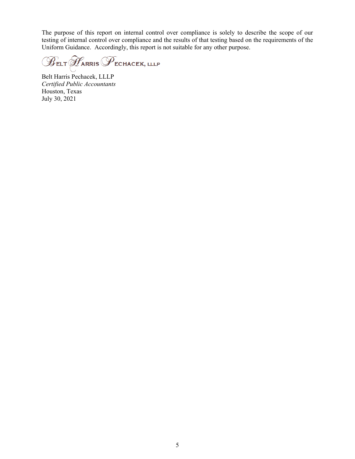The purpose of this report on internal control over compliance is solely to describe the scope of our testing of internal control over compliance and the results of that testing based on the requirements of the Uniform Guidance. Accordingly, this report is not suitable for any other purpose.

 $\mathscr{B}$ elt  $\mathscr{H}$ arris  $\mathscr{P}$ echacek, lllp

Belt Harris Pechacek, LLLP *Certified Public Accountants*  Houston, Texas July 30, 2021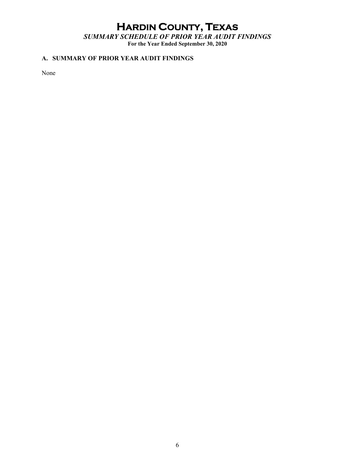# **HARDIN COUNTY, TEXAS**

*SUMMARY SCHEDULE OF PRIOR YEAR AUDIT FINDINGS*  **For the Year Ended September 30, 2020** 

#### **A. SUMMARY OF PRIOR YEAR AUDIT FINDINGS**

None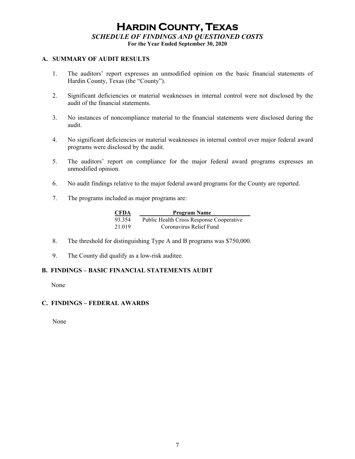### **HARDIN COUNTY, TEXAS** *SCHEDULE OF FINDINGS AND QUESTIONED COSTS*  **For the Year Ended September 30, 2020**

#### **A. SUMMARY OF AUDIT RESULTS**

- 1. The auditors' report expresses an unmodified opinion on the basic financial statements of Hardin County, Texas (the "County").
- 2. Significant deficiencies or material weaknesses in internal control were not disclosed by the audit of the financial statements.
- 3. No instances of noncompliance material to the financial statements were disclosed during the audit.
- 4. No significant deficiencies or material weaknesses in internal control over major federal award programs were disclosed by the audit.
- 5. The auditors' report on compliance for the major federal award programs expresses an unmodified opinion.
- 6. No audit findings relative to the major federal award programs for the County are reported.
- 7. The programs included as major programs are:

| <b>CFDA</b> | <b>Program Name</b>                       |
|-------------|-------------------------------------------|
| 93.354      | Public Health Crisis Response Cooperative |
| 21.019      | Coronavirus Relief Fund                   |

- 8. The threshold for distinguishing Type A and B programs was \$750,000.
- 9. The County did qualify as a low-risk auditee.

#### **B. FINDINGS – BASIC FINANCIAL STATEMENTS AUDIT**

None

#### **C. FINDINGS – FEDERAL AWARDS**

None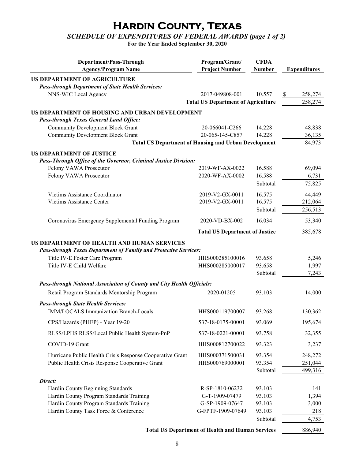## **Hardin County, Texas**

### *SCHEDULE OF EXPENDITURES OF FEDERAL AWARDS (page 1 of 2)*

**For the Year Ended September 30, 2020**

| Department/Pass-Through<br><b>Agency/Program Name</b>                                                                 | Program/Grant/<br><b>Project Number</b>                     | <b>CFDA</b><br>Number | <b>Expenditures</b> |
|-----------------------------------------------------------------------------------------------------------------------|-------------------------------------------------------------|-----------------------|---------------------|
| US DEPARTMENT OF AGRICULTURE                                                                                          |                                                             |                       |                     |
| <b>Pass-through Department of State Health Services:</b>                                                              |                                                             |                       |                     |
| NNS-WIC Local Agency                                                                                                  | 2017-049808-001                                             | 10.557                | \$<br>258,274       |
|                                                                                                                       | <b>Total US Department of Agriculture</b>                   |                       | 258,274             |
| US DEPARTMENT OF HOUSING AND URBAN DEVELOPMENT<br><b>Pass-through Texas General Land Office:</b>                      |                                                             |                       |                     |
| <b>Community Development Block Grant</b>                                                                              | 20-066041-C266                                              | 14.228                | 48,838              |
| <b>Community Development Block Grant</b>                                                                              | 20-065-145-C857                                             | 14.228                | 36,135              |
|                                                                                                                       | <b>Total US Department of Housing and Urban Development</b> |                       | 84,973              |
| <b>US DEPARTMENT OF JUSTICE</b><br>Pass-Through Office of the Governor, Criminal Justice Division:                    |                                                             |                       |                     |
| Felony VAWA Prosecutor                                                                                                | 2019-WF-AX-0022                                             | 16.588                | 69,094              |
| Felony VAWA Prosecutor                                                                                                | 2020-WF-AX-0002                                             | 16.588                | 6,731               |
|                                                                                                                       |                                                             | Subtotal              | 75,825              |
| Victims Assistance Coordinator                                                                                        | 2019-V2-GX-0011                                             | 16.575                | 44,449              |
| Victims Assistance Center                                                                                             | 2019-V2-GX-0011                                             | 16.575                | 212,064             |
|                                                                                                                       |                                                             | Subtotal              | 256,513             |
| Coronavirus Emergency Supplemental Funding Program                                                                    | 2020-VD-BX-002                                              | 16.034                | 53,340              |
|                                                                                                                       | <b>Total US Department of Justice</b>                       |                       | 385,678             |
| US DEPARTMENT OF HEALTH AND HUMAN SERVICES<br><b>Pass-through Texas Department of Family and Protective Services:</b> |                                                             |                       |                     |
| Title IV-E Foster Care Program                                                                                        | HHS000285100016                                             | 93.658                | 5,246               |
| Title IV-E Child Welfare                                                                                              | HHS000285000017                                             | 93.658                | 1,997               |
|                                                                                                                       |                                                             | Subtotal              | 7,243               |
| Pass-through National Associaiton of County and City Health Officials:                                                |                                                             |                       |                     |
| Retail Program Standards Mentorship Program                                                                           | 2020-01205                                                  | 93.103                | 14,000              |
| <b>Pass-through State Health Services:</b>                                                                            |                                                             |                       |                     |
| <b>IMM/LOCALS Immunization Branch-Locals</b>                                                                          | HHS000119700007                                             | 93.268                | 130,362             |
| CPS/Hazards (PHEP) - Year 19-20                                                                                       | 537-18-0175-00001                                           | 93.069                | 195,674             |
| RLSS/LPHS RLSS/Local Public Health System-PnP                                                                         | 537-18-0221-00001                                           | 93.758                | 32,355              |
| COVID-19 Grant                                                                                                        | HHS000812700022                                             | 93.323                | 3,237               |
| Hurricane Public Health Crisis Response Cooperative Grant                                                             | HHS000371500031                                             | 93.354                | 248,272             |
| Public Health Crisis Response Cooperative Grant                                                                       | HHS000769000001                                             | 93.354                | 251,044             |
|                                                                                                                       |                                                             | Subtotal              | 499,316             |
| Direct:                                                                                                               |                                                             |                       |                     |
| Hardin County Beginning Standards                                                                                     | R-SP-1810-06232                                             | 93.103                | 141                 |
| Hardin County Program Standards Training                                                                              | G-T-1909-07479                                              | 93.103                | 1,394               |
| Hardin County Program Standards Training<br>Hardin County Task Force & Conference                                     | G-SP-1909-07647<br>G-FPTF-1909-07649                        | 93.103<br>93.103      | 3,000<br>218        |
|                                                                                                                       |                                                             | Subtotal              | 4,753               |
|                                                                                                                       | <b>Total US Department of Health and Human Services</b>     |                       | 886,940             |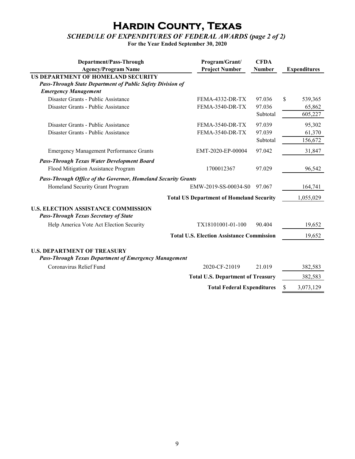## **Hardin County, Texas**

#### *SCHEDULE OF EXPENDITURES OF FEDERAL AWARDS (page 2 of 2)*

**For the Year Ended September 30, 2020**

| Department/Pass-Through<br><b>Agency/Program Name</b>                                              | Program/Grant/<br><b>Project Number</b>  | <b>CFDA</b><br>Number | <b>Expenditures</b> |           |
|----------------------------------------------------------------------------------------------------|------------------------------------------|-----------------------|---------------------|-----------|
| US DEPARTMENT OF HOMELAND SECURITY                                                                 |                                          |                       |                     |           |
| Pass-Through State Department of Public Safety Division of                                         |                                          |                       |                     |           |
| <b>Emergency Management</b>                                                                        |                                          |                       |                     |           |
| Disaster Grants - Public Assistance                                                                | FEMA-4332-DR-TX                          | 97.036                | \$.                 | 539,365   |
| Disaster Grants - Public Assistance                                                                | FEMA-3540-DR-TX                          | 97.036                |                     | 65,862    |
|                                                                                                    |                                          | Subtotal              |                     | 605,227   |
| Disaster Grants - Public Assistance                                                                | FEMA-3540-DR-TX                          | 97.039                |                     | 95,302    |
| Disaster Grants - Public Assistance                                                                | FEMA-3540-DR-TX                          | 97.039                |                     | 61,370    |
|                                                                                                    |                                          | Subtotal              |                     | 156,672   |
| <b>Emergency Management Performance Grants</b>                                                     | EMT-2020-EP-00004                        | 97.042                |                     | 31,847    |
| <b>Pass-Through Texas Water Development Board</b>                                                  |                                          |                       |                     |           |
| Flood Mitigation Assistance Program                                                                | 1700012367                               | 97.029                |                     | 96,542    |
| <b>Pass-Through Office of the Governor, Homeland Security Grants</b>                               |                                          |                       |                     |           |
| Homeland Security Grant Program                                                                    | EMW-2019-SS-00034-S0<br>97.067           |                       |                     | 164,741   |
| <b>Total US Department of Homeland Security</b>                                                    |                                          |                       |                     | 1,055,029 |
| <b>U.S. ELECTION ASSISTANCE COMMISSION</b><br><b>Pass-Through Texas Secretary of State</b>         |                                          |                       |                     |           |
| Help America Vote Act Election Security                                                            | TX18101001-01-100                        | 90.404                |                     | 19,652    |
| <b>Total U.S. Election Assistance Commission</b>                                                   |                                          |                       |                     | 19,652    |
| <b>U.S. DEPARTMENT OF TREASURY</b><br><b>Pass-Through Texas Department of Emergency Management</b> |                                          |                       |                     |           |
| Coronavirus Relief Fund                                                                            | 2020-CF-21019                            | 21.019                |                     | 382,583   |
|                                                                                                    | <b>Total U.S. Department of Treasury</b> |                       |                     | 382,583   |
| <b>Total Federal Expenditures</b>                                                                  |                                          | \$                    | 3,073,129           |           |